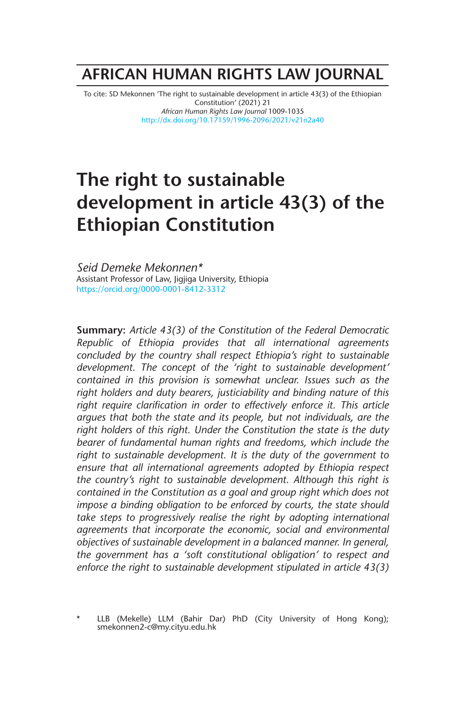## **AFRICAN HUMAN RIGHTS LAW JOURNAL**

To cite: SD Mekonnen 'The right to sustainable development in article 43(3) of the Ethiopian Constitution' (2021) 21 *African Human Rights Law Journal* 1009-1035 http://dx.doi.org/10.17159/1996-2096/2021/v21n2a40

# **The right to sustainable development in article 43(3) of the Ethiopian Constitution**

*Seid Demeke Mekonnen\** Assistant Professor of Law, Jigjiga University, Ethiopia https://orcid.org/0000-0001-8412-3312

**Summary:** *Article 43(3) of the Constitution of the Federal Democratic Republic of Ethiopia provides that all international agreements concluded by the country shall respect Ethiopia's right to sustainable development. The concept of the 'right to sustainable development' contained in this provision is somewhat unclear. Issues such as the right holders and duty bearers, justiciability and binding nature of this right require clarification in order to effectively enforce it. This article argues that both the state and its people, but not individuals, are the right holders of this right. Under the Constitution the state is the duty bearer of fundamental human rights and freedoms, which include the right to sustainable development. It is the duty of the government to ensure that all international agreements adopted by Ethiopia respect the country's right to sustainable development. Although this right is contained in the Constitution as a goal and group right which does not impose a binding obligation to be enforced by courts, the state should*  take steps to progressively realise the right by adopting international *agreements that incorporate the economic, social and environmental objectives of sustainable development in a balanced manner. In general, the government has a 'soft constitutional obligation' to respect and enforce the right to sustainable development stipulated in article 43(3)*

LLB (Mekelle) LLM (Bahir Dar) PhD (City University of Hong Kong); smekonnen2-c@my.cityu.edu.hk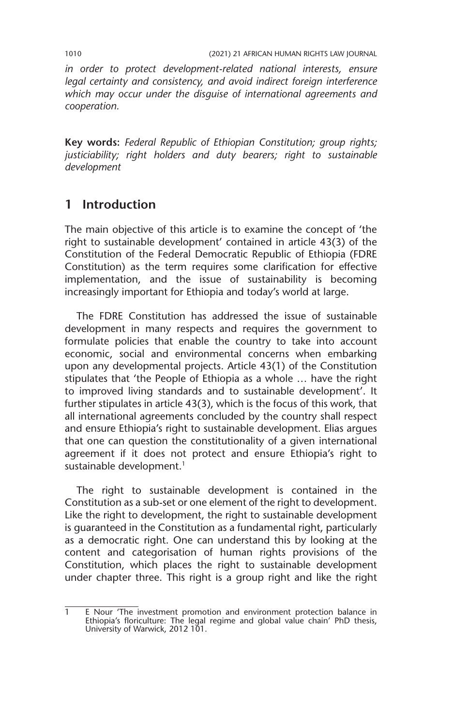*in order to protect development-related national interests, ensure legal certainty and consistency, and avoid indirect foreign interference which may occur under the disguise of international agreements and cooperation.*

**Key words:** *Federal Republic of Ethiopian Constitution; group rights; justiciability; right holders and duty bearers; right to sustainable development*

## **1 Introduction**

The main objective of this article is to examine the concept of 'the right to sustainable development' contained in article  $43(3)$  of the Constitution of the Federal Democratic Republic of Ethiopia (FDRE Constitution) as the term requires some clarification for effective implementation, and the issue of sustainability is becoming increasingly important for Ethiopia and today's world at large.

The FDRE Constitution has addressed the issue of sustainable development in many respects and requires the government to formulate policies that enable the country to take into account economic, social and environmental concerns when embarking upon any developmental projects. Article 43(1) of the Constitution stipulates that 'the People of Ethiopia as a whole … have the right to improved living standards and to sustainable development'. It further stipulates in article 43(3), which is the focus of this work, that all international agreements concluded by the country shall respect and ensure Ethiopia's right to sustainable development. Elias argues that one can question the constitutionality of a given international agreement if it does not protect and ensure Ethiopia's right to sustainable development.<sup>1</sup>

The right to sustainable development is contained in the Constitution as a sub-set or one element of the right to development. Like the right to development, the right to sustainable development is guaranteed in the Constitution as a fundamental right, particularly as a democratic right. One can understand this by looking at the content and categorisation of human rights provisions of the Constitution, which places the right to sustainable development under chapter three. This right is a group right and like the right

<sup>1</sup> E Nour 'The investment promotion and environment protection balance in Ethiopia's floriculture: The legal regime and global value chain' PhD thesis, University of Warwick, 2012 101.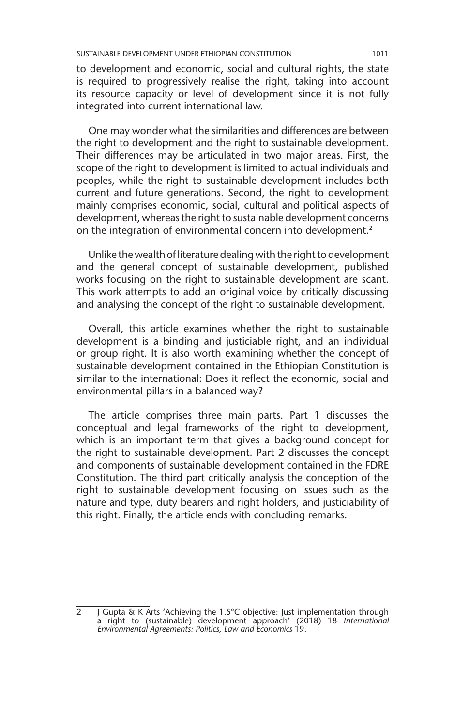to development and economic, social and cultural rights, the state is required to progressively realise the right, taking into account its resource capacity or level of development since it is not fully integrated into current international law.

One may wonder what the similarities and differences are between the right to development and the right to sustainable development. Their differences may be articulated in two major areas. First, the scope of the right to development is limited to actual individuals and peoples, while the right to sustainable development includes both current and future generations. Second, the right to development mainly comprises economic, social, cultural and political aspects of development, whereas the right to sustainable development concerns on the integration of environmental concern into development.<sup>2</sup>

Unlike the wealth of literature dealing with the right to development and the general concept of sustainable development, published works focusing on the right to sustainable development are scant. This work attempts to add an original voice by critically discussing and analysing the concept of the right to sustainable development.

Overall, this article examines whether the right to sustainable development is a binding and justiciable right, and an individual or group right. It is also worth examining whether the concept of sustainable development contained in the Ethiopian Constitution is similar to the international: Does it reflect the economic, social and environmental pillars in a balanced way?

The article comprises three main parts. Part 1 discusses the conceptual and legal frameworks of the right to development, which is an important term that gives a background concept for the right to sustainable development. Part 2 discusses the concept and components of sustainable development contained in the FDRE Constitution. The third part critically analysis the conception of the right to sustainable development focusing on issues such as the nature and type, duty bearers and right holders, and justiciability of this right. Finally, the article ends with concluding remarks.

2 J Gupta & K Arts 'Achieving the 1.5°C objective: Just implementation through a right to (sustainable) development approach' (2018) 18 *International Environmental Agreements: Politics, Law and Economics* 19.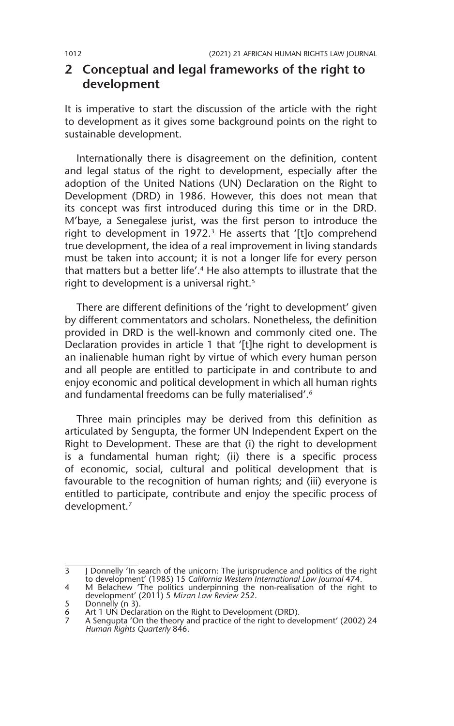## **2 Conceptual and legal frameworks of the right to development**

It is imperative to start the discussion of the article with the right to development as it gives some background points on the right to sustainable development.

Internationally there is disagreement on the definition, content and legal status of the right to development, especially after the adoption of the United Nations (UN) Declaration on the Right to Development (DRD) in 1986. However, this does not mean that its concept was first introduced during this time or in the DRD. M'baye, a Senegalese jurist, was the first person to introduce the right to development in 1972.<sup>3</sup> He asserts that '[t]o comprehend true development, the idea of a real improvement in living standards must be taken into account; it is not a longer life for every person that matters but a better life'.<sup>4</sup> He also attempts to illustrate that the right to development is a universal right.<sup>5</sup>

There are different definitions of the 'right to development' given by different commentators and scholars. Nonetheless, the definition provided in DRD is the well-known and commonly cited one. The Declaration provides in article 1 that '[t]he right to development is an inalienable human right by virtue of which every human person and all people are entitled to participate in and contribute to and enjoy economic and political development in which all human rights and fundamental freedoms can be fully materialised'.6

Three main principles may be derived from this definition as articulated by Sengupta, the former UN Independent Expert on the Right to Development. These are that (i) the right to development is a fundamental human right; (ii) there is a specific process of economic, social, cultural and political development that is favourable to the recognition of human rights; and (iii) everyone is entitled to participate, contribute and enjoy the specific process of development.7

 $\overline{3}$  J Donnelly 'In search of the unicorn: The jurisprudence and politics of the right to development' (1985) 15 *California Western International Law Journal* 474.

<sup>4</sup> M Belachew 'The politics underpinning the non-realisation of the right to development' (2011) 5 *Mizan Law Review* 252.

<sup>5</sup> Donnelly (n 3).<br>6 Art 1 UN Decla<br>7 A Sengunta 'Or 6 Art 1 UN Declaration on the Right to Development (DRD).

<sup>7</sup> A Sengupta 'On the theory and practice of the right to development' (2002) 24 *Human Rights Quarterly* 846.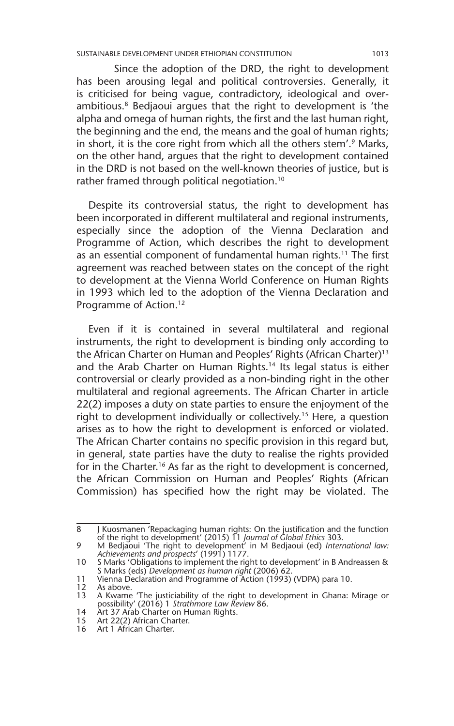Since the adoption of the DRD, the right to development has been arousing legal and political controversies. Generally, it is criticised for being vague, contradictory, ideological and overambitious.<sup>8</sup> Bedjaoui argues that the right to development is 'the alpha and omega of human rights, the first and the last human right, the beginning and the end, the means and the goal of human rights; in short, it is the core right from which all the others stem'.<sup>9</sup> Marks, on the other hand, argues that the right to development contained in the DRD is not based on the well-known theories of justice, but is rather framed through political negotiation.10

Despite its controversial status, the right to development has been incorporated in different multilateral and regional instruments, especially since the adoption of the Vienna Declaration and Programme of Action, which describes the right to development as an essential component of fundamental human rights.11 The first agreement was reached between states on the concept of the right to development at the Vienna World Conference on Human Rights in 1993 which led to the adoption of the Vienna Declaration and Programme of Action.<sup>12</sup>

Even if it is contained in several multilateral and regional instruments, the right to development is binding only according to the African Charter on Human and Peoples' Rights (African Charter)<sup>13</sup> and the Arab Charter on Human Rights.<sup>14</sup> Its legal status is either controversial or clearly provided as a non-binding right in the other multilateral and regional agreements. The African Charter in article 22(2) imposes a duty on state parties to ensure the enjoyment of the right to development individually or collectively.<sup>15</sup> Here, a question arises as to how the right to development is enforced or violated. The African Charter contains no specific provision in this regard but, in general, state parties have the duty to realise the rights provided for in the Charter.<sup>16</sup> As far as the right to development is concerned, the African Commission on Human and Peoples' Rights (African Commission) has specified how the right may be violated. The

<sup>8</sup> J Kuosmanen 'Repackaging human rights: On the justification and the function of the right to development' (2015) 11 *Journal of Global Ethics* 303.

<sup>9</sup> M Bedjaoui 'The right to development' in M Bedjaoui (ed) *International law: Achievements and prospects*' (1991) 1177.

<sup>10</sup> S Marks 'Obligations to implement the right to development' in B Andreassen & S Marks (eds) *Development as human right* (2006) 62.

<sup>11</sup> Vienna Declaration and Programme of Action (1993) (VDPA) para 10.

<sup>12</sup> As above. 13 A Kwame 'The justiciability of the right to development in Ghana: Mirage or possibility' (2016) 1 *Strathmore Law Review* 86.

<sup>14</sup> Art 37 Arab Charter on Human Rights.

<sup>15</sup> Art 22(2) African Charter.

<sup>16</sup> Art 1 African Charter.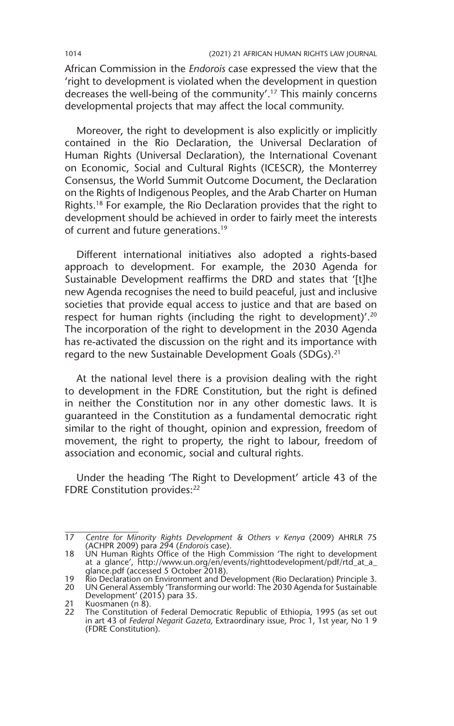African Commission in the *Endorois* case expressed the view that the 'right to development is violated when the development in question decreases the well-being of the community'.17 This mainly concerns developmental projects that may affect the local community.

Moreover, the right to development is also explicitly or implicitly contained in the Rio Declaration, the Universal Declaration of Human Rights (Universal Declaration), the International Covenant on Economic, Social and Cultural Rights (ICESCR), the Monterrey Consensus, the World Summit Outcome Document, the Declaration on the Rights of Indigenous Peoples, and the Arab Charter on Human Rights.<sup>18</sup> For example, the Rio Declaration provides that the right to development should be achieved in order to fairly meet the interests of current and future generations.19

Different international initiatives also adopted a rights-based approach to development. For example, the 2030 Agenda for Sustainable Development reaffirms the DRD and states that '[t]he new Agenda recognises the need to build peaceful, just and inclusive societies that provide equal access to justice and that are based on respect for human rights (including the right to development)'.<sup>20</sup> The incorporation of the right to development in the 2030 Agenda has re-activated the discussion on the right and its importance with regard to the new Sustainable Development Goals (SDGs).<sup>21</sup>

At the national level there is a provision dealing with the right to development in the FDRE Constitution, but the right is defined in neither the Constitution nor in any other domestic laws. It is guaranteed in the Constitution as a fundamental democratic right similar to the right of thought, opinion and expression, freedom of movement, the right to property, the right to labour, freedom of association and economic, social and cultural rights.

Under the heading 'The Right to Development' article 43 of the FDRE Constitution provides:<sup>22</sup>

<sup>17</sup> *Centre for Minority Rights Development & Others v Kenya* (2009) AHRLR 75 (ACHPR 2009) para 294 (*Endorois* case).

<sup>18</sup> UN Human Rights Office of the High Commission 'The right to development at a glance', http://www.un.org/en/events/righttodevelopment/pdf/rtd\_at\_a\_ glance.pdf (accessed 5 October 2018).

<sup>19</sup> Rio Declaration on Environment and Development (Rio Declaration) Principle 3.

<sup>20</sup> UN General Assembly 'Transforming our world: The 2030 Agenda for Sustainable Development' (2015) para 35.

<sup>21</sup> Kuosmanen (n 8).

<sup>22</sup> The Constitution of Federal Democratic Republic of Ethiopia, 1995 (as set out in art 43 of *Federal Negarit Gazeta*, Extraordinary issue, Proc 1, 1st year, No 1 9 (FDRE Constitution).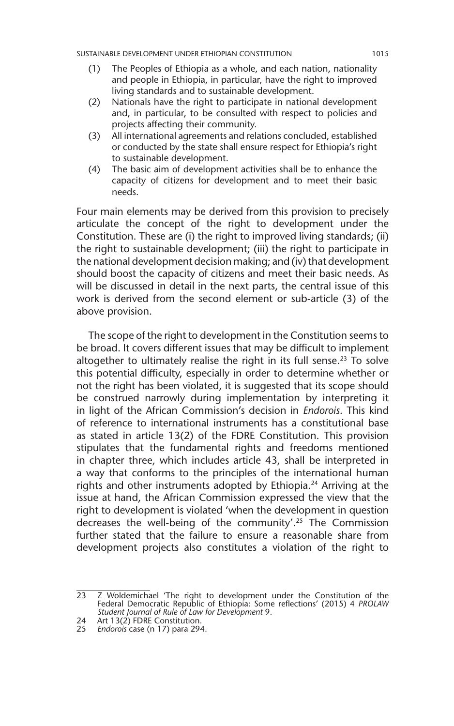- (1) The Peoples of Ethiopia as a whole, and each nation, nationality and people in Ethiopia, in particular, have the right to improved living standards and to sustainable development.
- (2) Nationals have the right to participate in national development and, in particular, to be consulted with respect to policies and projects affecting their community.
- (3) All international agreements and relations concluded, established or conducted by the state shall ensure respect for Ethiopia's right to sustainable development.
- (4) The basic aim of development activities shall be to enhance the capacity of citizens for development and to meet their basic needs.

Four main elements may be derived from this provision to precisely articulate the concept of the right to development under the Constitution. These are (i) the right to improved living standards; (ii) the right to sustainable development; (iii) the right to participate in the national development decision making; and (iv) that development should boost the capacity of citizens and meet their basic needs. As will be discussed in detail in the next parts, the central issue of this work is derived from the second element or sub-article (3) of the above provision.

The scope of the right to development in the Constitution seems to be broad. It covers different issues that may be difficult to implement altogether to ultimately realise the right in its full sense.<sup>23</sup> To solve this potential difficulty, especially in order to determine whether or not the right has been violated, it is suggested that its scope should be construed narrowly during implementation by interpreting it in light of the African Commission's decision in *Endorois*. This kind of reference to international instruments has a constitutional base as stated in article 13(2) of the FDRE Constitution. This provision stipulates that the fundamental rights and freedoms mentioned in chapter three, which includes article 43, shall be interpreted in a way that conforms to the principles of the international human rights and other instruments adopted by Ethiopia.<sup>24</sup> Arriving at the issue at hand, the African Commission expressed the view that the right to development is violated 'when the development in question decreases the well-being of the community'.25 The Commission further stated that the failure to ensure a reasonable share from development projects also constitutes a violation of the right to

<sup>23</sup> Z Woldemichael 'The right to development under the Constitution of the Federal Democratic Republic of Ethiopia: Some reflections' (2015) 4 *PROLAW Student Journal of Rule of Law for Development* 9.

<sup>24</sup> Art 13(2) FDRE Constitution.

<sup>25</sup> *Endorois* case (n 17) para 294.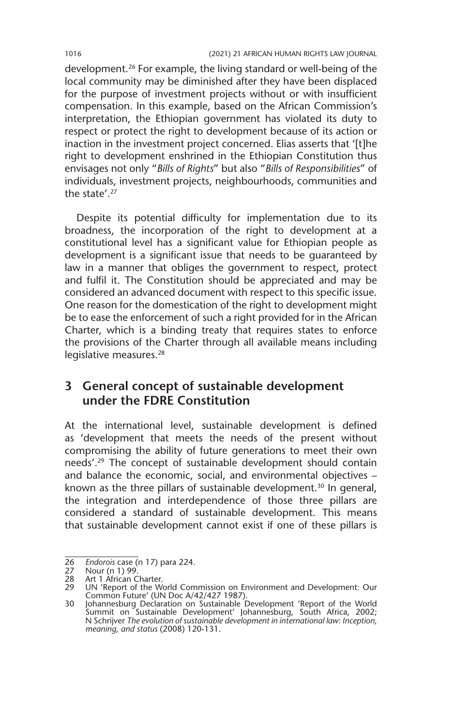development.26 For example, the living standard or well-being of the local community may be diminished after they have been displaced for the purpose of investment projects without or with insufficient compensation. In this example, based on the African Commission's interpretation, the Ethiopian government has violated its duty to respect or protect the right to development because of its action or inaction in the investment project concerned. Elias asserts that '[t]he right to development enshrined in the Ethiopian Constitution thus envisages not only "*Bills of Rights*" but also "*Bills of Responsibilities*" of individuals, investment projects, neighbourhoods, communities and the state'.27

Despite its potential difficulty for implementation due to its broadness, the incorporation of the right to development at a constitutional level has a significant value for Ethiopian people as development is a significant issue that needs to be guaranteed by law in a manner that obliges the government to respect, protect and fulfil it. The Constitution should be appreciated and may be considered an advanced document with respect to this specific issue. One reason for the domestication of the right to development might be to ease the enforcement of such a right provided for in the African Charter, which is a binding treaty that requires states to enforce the provisions of the Charter through all available means including legislative measures.<sup>28</sup>

## **3 General concept of sustainable development under the FDRE Constitution**

At the international level, sustainable development is defined as 'development that meets the needs of the present without compromising the ability of future generations to meet their own needs'.29 The concept of sustainable development should contain and balance the economic, social, and environmental objectives – known as the three pillars of sustainable development.<sup>30</sup> In general, the integration and interdependence of those three pillars are considered a standard of sustainable development. This means that sustainable development cannot exist if one of these pillars is

<sup>26</sup> *Endorois* case (n 17) para 224.

<sup>27</sup> Nour (n 1) 99.

<sup>28</sup> Art 1 African Charter.

<sup>29</sup> UN 'Report of the World Commission on Environment and Development: Our Common Future' (UN Doc A/42/427 1987).

<sup>30</sup> Johannesburg Declaration on Sustainable Development 'Report of the World Summit on Sustainable Development' Johannesburg, South Africa, 2002; N Schrijver *The evolution of sustainable development in international law: Inception, meaning, and status* (2008) 120-131.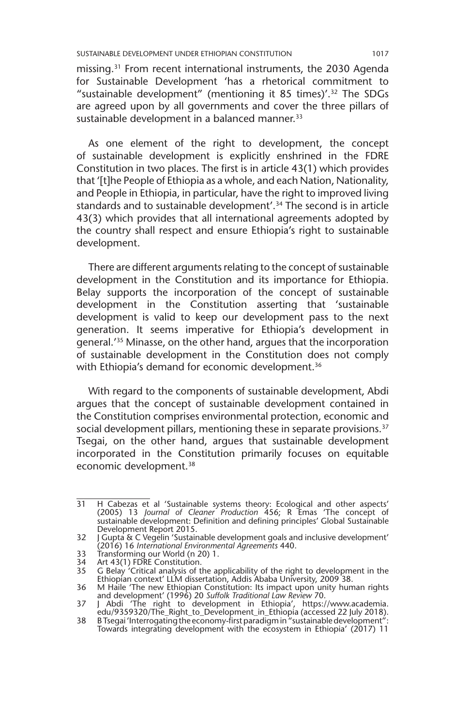missing.31 From recent international instruments, the 2030 Agenda for Sustainable Development 'has a rhetorical commitment to "sustainable development" (mentioning it 85 times)'.32 The SDGs are agreed upon by all governments and cover the three pillars of sustainable development in a balanced manner.<sup>33</sup>

As one element of the right to development, the concept of sustainable development is explicitly enshrined in the FDRE Constitution in two places. The first is in article 43(1) which provides that '[t]he People of Ethiopia as a whole, and each Nation, Nationality, and People in Ethiopia, in particular, have the right to improved living standards and to sustainable development'.34 The second is in article 43(3) which provides that all international agreements adopted by the country shall respect and ensure Ethiopia's right to sustainable development.

There are different arguments relating to the concept of sustainable development in the Constitution and its importance for Ethiopia. Belay supports the incorporation of the concept of sustainable development in the Constitution asserting that 'sustainable development is valid to keep our development pass to the next generation. It seems imperative for Ethiopia's development in general.'35 Minasse, on the other hand, argues that the incorporation of sustainable development in the Constitution does not comply with Ethiopia's demand for economic development.<sup>36</sup>

With regard to the components of sustainable development, Abdi argues that the concept of sustainable development contained in the Constitution comprises environmental protection, economic and social development pillars, mentioning these in separate provisions.<sup>37</sup> Tsegai, on the other hand, argues that sustainable development incorporated in the Constitution primarily focuses on equitable economic development.<sup>38</sup>

33 Transforming our World (n 20) 1.

<sup>31</sup> H Cabezas et al 'Sustainable systems theory: Ecological and other aspects' (2005) 13 *Journal of Cleaner Production* 456; R Emas 'The concept of sustainable development: Definition and defining principles' Global Sustainable Development Report 2015.

<sup>32</sup> J Gupta & C Vegelin 'Sustainable development goals and inclusive development' (2016) 16 *International Environmental Agreements* 440.

<sup>34</sup> Art 43(1) FDRE Constitution.

<sup>35</sup> G Belay 'Critical analysis of the applicability of the right to development in the Ethiopian context' LLM dissertation, Addis Ababa University, 2009 38.

<sup>36</sup> M Haile 'The new Ethiopian Constitution: Its impact upon unity human rights and development' (1996) 20 *Suffolk Traditional Law Review* 70. 37 J Abdi 'The right to development in Ethiopia', https://www.academia.

edu/9359320/The\_Right\_to\_Development\_in\_Ethiopia (accessed 22 July 2018).

<sup>38</sup> B Tsegai 'Interrogating the economy-first paradigm in "sustainable development": Towards integrating development with the ecosystem in Ethiopia' (2017) 11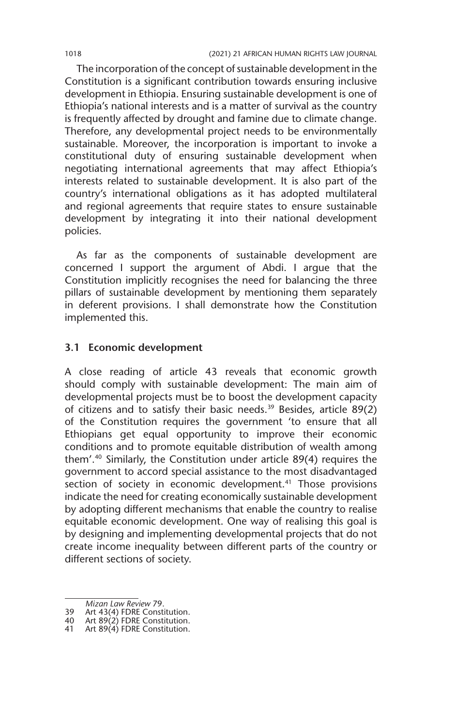The incorporation of the concept of sustainable development in the Constitution is a significant contribution towards ensuring inclusive development in Ethiopia. Ensuring sustainable development is one of Ethiopia's national interests and is a matter of survival as the country is frequently affected by drought and famine due to climate change. Therefore, any developmental project needs to be environmentally sustainable. Moreover, the incorporation is important to invoke a constitutional duty of ensuring sustainable development when negotiating international agreements that may affect Ethiopia's interests related to sustainable development. It is also part of the country's international obligations as it has adopted multilateral and regional agreements that require states to ensure sustainable development by integrating it into their national development policies.

As far as the components of sustainable development are concerned I support the argument of Abdi. I argue that the Constitution implicitly recognises the need for balancing the three pillars of sustainable development by mentioning them separately in deferent provisions. I shall demonstrate how the Constitution implemented this.

## **3.1 Economic development**

A close reading of article 43 reveals that economic growth should comply with sustainable development: The main aim of developmental projects must be to boost the development capacity of citizens and to satisfy their basic needs.39 Besides, article 89(2) of the Constitution requires the government 'to ensure that all Ethiopians get equal opportunity to improve their economic conditions and to promote equitable distribution of wealth among them'.40 Similarly, the Constitution under article 89(4) requires the government to accord special assistance to the most disadvantaged section of society in economic development.<sup>41</sup> Those provisions indicate the need for creating economically sustainable development by adopting different mechanisms that enable the country to realise equitable economic development. One way of realising this goal is by designing and implementing developmental projects that do not create income inequality between different parts of the country or different sections of society.

*Mizan Law Review* 79.

<sup>39</sup> Art 43(4) FDRE Constitution.

<sup>40</sup> Art 89(2) FDRE Constitution.

<sup>41</sup> Art 89(4) FDRE Constitution.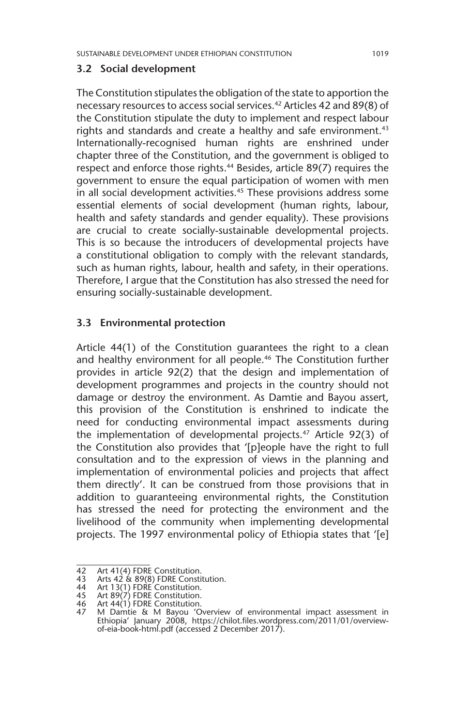#### **3.2 Social development**

The Constitution stipulates the obligation of the state to apportion the necessary resources to access social services.42 Articles 42 and 89(8) of the Constitution stipulate the duty to implement and respect labour rights and standards and create a healthy and safe environment.<sup>43</sup> Internationally-recognised human rights are enshrined under chapter three of the Constitution, and the government is obliged to respect and enforce those rights.<sup>44</sup> Besides, article 89(7) requires the government to ensure the equal participation of women with men in all social development activities.<sup>45</sup> These provisions address some essential elements of social development (human rights, labour, health and safety standards and gender equality). These provisions are crucial to create socially-sustainable developmental projects. This is so because the introducers of developmental projects have a constitutional obligation to comply with the relevant standards, such as human rights, labour, health and safety, in their operations. Therefore, I argue that the Constitution has also stressed the need for ensuring socially-sustainable development.

## **3.3 Environmental protection**

Article 44(1) of the Constitution guarantees the right to a clean and healthy environment for all people.<sup>46</sup> The Constitution further provides in article 92(2) that the design and implementation of development programmes and projects in the country should not damage or destroy the environment. As Damtie and Bayou assert, this provision of the Constitution is enshrined to indicate the need for conducting environmental impact assessments during the implementation of developmental projects.47 Article 92(3) of the Constitution also provides that '[p]eople have the right to full consultation and to the expression of views in the planning and implementation of environmental policies and projects that affect them directly'. It can be construed from those provisions that in addition to guaranteeing environmental rights, the Constitution has stressed the need for protecting the environment and the livelihood of the community when implementing developmental projects. The 1997 environmental policy of Ethiopia states that '[e]

<sup>42</sup> Art 41(4) FDRE Constitution.

<sup>43</sup> Arts  $42 \times 89(8)$  FDRE Constitution.<br>44 Art 13(1) FDRE Constitution.

<sup>44</sup> Art 13(1) FDRE Constitution. 45 Art 89(7) FDRE Constitution.

<sup>46</sup> Art 44(1) FDRE Constitution.<br>47 M Damtie & M Bayou 'O

<sup>47</sup> M Damtie & M Bayou 'Overview of environmental impact assessment in Ethiopia' January 2008, https://chilot.files.wordpress.com/2011/01/overviewof-eia-book-html.pdf (accessed 2 December 2017).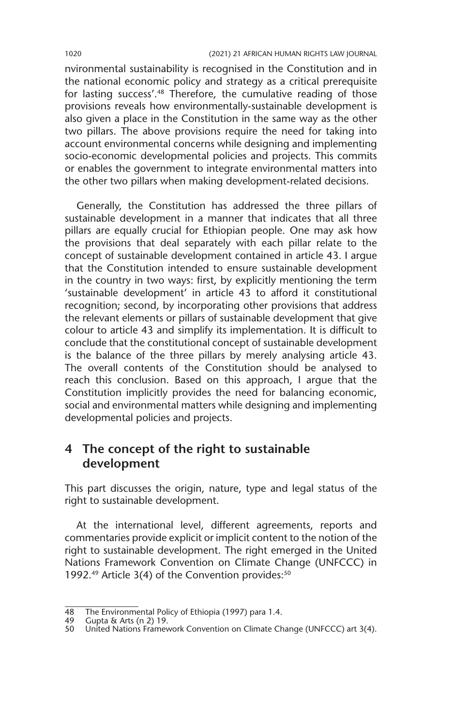nvironmental sustainability is recognised in the Constitution and in the national economic policy and strategy as a critical prerequisite for lasting success'.48 Therefore, the cumulative reading of those provisions reveals how environmentally-sustainable development is also given a place in the Constitution in the same way as the other two pillars. The above provisions require the need for taking into account environmental concerns while designing and implementing socio-economic developmental policies and projects. This commits or enables the government to integrate environmental matters into the other two pillars when making development-related decisions.

Generally, the Constitution has addressed the three pillars of sustainable development in a manner that indicates that all three pillars are equally crucial for Ethiopian people. One may ask how the provisions that deal separately with each pillar relate to the concept of sustainable development contained in article 43. I argue that the Constitution intended to ensure sustainable development in the country in two ways: first, by explicitly mentioning the term 'sustainable development' in article 43 to afford it constitutional recognition; second, by incorporating other provisions that address the relevant elements or pillars of sustainable development that give colour to article 43 and simplify its implementation. It is difficult to conclude that the constitutional concept of sustainable development is the balance of the three pillars by merely analysing article 43. The overall contents of the Constitution should be analysed to reach this conclusion. Based on this approach, I argue that the Constitution implicitly provides the need for balancing economic, social and environmental matters while designing and implementing developmental policies and projects.

## **4 The concept of the right to sustainable development**

This part discusses the origin, nature, type and legal status of the right to sustainable development.

At the international level, different agreements, reports and commentaries provide explicit or implicit content to the notion of the right to sustainable development. The right emerged in the United Nations Framework Convention on Climate Change (UNFCCC) in 1992.<sup>49</sup> Article 3(4) of the Convention provides:<sup>50</sup>

<sup>48</sup> The Environmental Policy of Ethiopia (1997) para 1.4.

<sup>49</sup> Gupta & Arts (n 2) 19.

<sup>50</sup> United Nations Framework Convention on Climate Change (UNFCCC) art 3(4).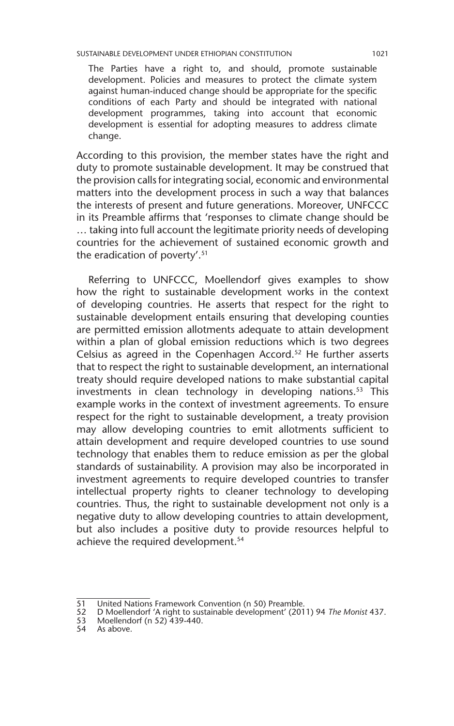#### SUSTAINABLE DEVELOPMENT UNDER ETHIOPIAN CONSTITUTION 1021

The Parties have a right to, and should, promote sustainable development. Policies and measures to protect the climate system against human-induced change should be appropriate for the specific conditions of each Party and should be integrated with national development programmes, taking into account that economic development is essential for adopting measures to address climate change.

According to this provision, the member states have the right and duty to promote sustainable development. It may be construed that the provision calls for integrating social, economic and environmental matters into the development process in such a way that balances the interests of present and future generations. Moreover, UNFCCC in its Preamble affirms that 'responses to climate change should be … taking into full account the legitimate priority needs of developing countries for the achievement of sustained economic growth and the eradication of poverty'.51

Referring to UNFCCC, Moellendorf gives examples to show how the right to sustainable development works in the context of developing countries. He asserts that respect for the right to sustainable development entails ensuring that developing counties are permitted emission allotments adequate to attain development within a plan of global emission reductions which is two degrees Celsius as agreed in the Copenhagen Accord.<sup>52</sup> He further asserts that to respect the right to sustainable development, an international treaty should require developed nations to make substantial capital investments in clean technology in developing nations.<sup>53</sup> This example works in the context of investment agreements. To ensure respect for the right to sustainable development, a treaty provision may allow developing countries to emit allotments sufficient to attain development and require developed countries to use sound technology that enables them to reduce emission as per the global standards of sustainability. A provision may also be incorporated in investment agreements to require developed countries to transfer intellectual property rights to cleaner technology to developing countries. Thus, the right to sustainable development not only is a negative duty to allow developing countries to attain development, but also includes a positive duty to provide resources helpful to achieve the required development.<sup>54</sup>

<sup>51</sup> United Nations Framework Convention (n 50) Preamble.<br>52 D Moellendorf 'A right to sustainable development' (201

<sup>52</sup> D Moellendorf 'A right to sustainable development' (2011) 94 *The Monist* 437.

<sup>53</sup> Moellendorf (n 52) 439-440.

<sup>54</sup> As above.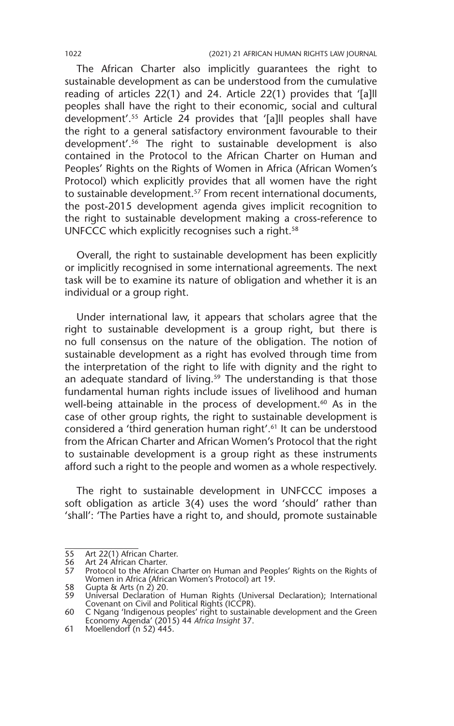The African Charter also implicitly guarantees the right to sustainable development as can be understood from the cumulative reading of articles 22(1) and 24. Article 22(1) provides that '[a]ll peoples shall have the right to their economic, social and cultural development'.55 Article 24 provides that '[a]ll peoples shall have the right to a general satisfactory environment favourable to their development'.56 The right to sustainable development is also contained in the Protocol to the African Charter on Human and Peoples' Rights on the Rights of Women in Africa (African Women's Protocol) which explicitly provides that all women have the right to sustainable development.<sup>57</sup> From recent international documents, the post-2015 development agenda gives implicit recognition to the right to sustainable development making a cross-reference to UNFCCC which explicitly recognises such a right.<sup>58</sup>

Overall, the right to sustainable development has been explicitly or implicitly recognised in some international agreements. The next task will be to examine its nature of obligation and whether it is an individual or a group right.

Under international law, it appears that scholars agree that the right to sustainable development is a group right, but there is no full consensus on the nature of the obligation. The notion of sustainable development as a right has evolved through time from the interpretation of the right to life with dignity and the right to an adequate standard of living.<sup>59</sup> The understanding is that those fundamental human rights include issues of livelihood and human well-being attainable in the process of development.<sup>60</sup> As in the case of other group rights, the right to sustainable development is considered a 'third generation human right'.61 It can be understood from the African Charter and African Women's Protocol that the right to sustainable development is a group right as these instruments afford such a right to the people and women as a whole respectively.

The right to sustainable development in UNFCCC imposes a soft obligation as article 3(4) uses the word 'should' rather than 'shall': 'The Parties have a right to, and should, promote sustainable

<sup>55</sup> Art 22(1) African Charter.<br>56 Art 24 African Charter.

<sup>56</sup> Art 24 African Charter.<br>57 Protocol to the African

Protocol to the African Charter on Human and Peoples' Rights on the Rights of Women in Africa (African Women's Protocol) art 19.

<sup>58</sup> Gupta & Arts (n 2) 20. 59 Universal Declaration of Human Rights (Universal Declaration); International Covenant on Civil and Political Rights (ICCPR).

<sup>60</sup> C Ngang 'Indigenous peoples' right to sustainable development and the Green Economy Agenda' (2015) 44 *Africa Insight* 37.

<sup>61</sup> Moellendorf (n 52) 445.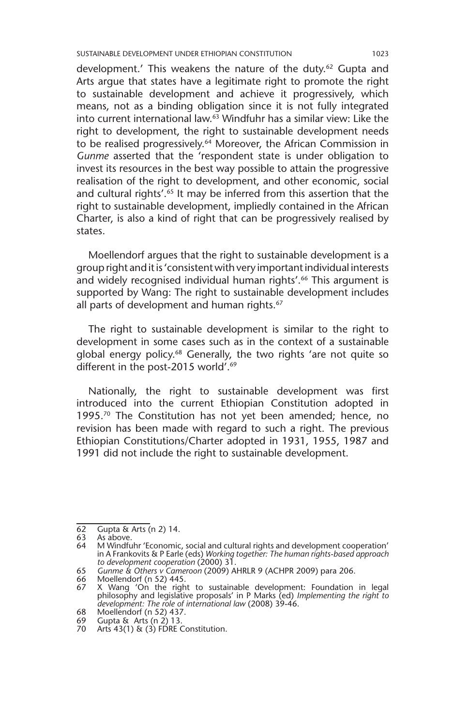SUSTAINABLE DEVELOPMENT UNDER ETHIOPIAN CONSTITUTION 1023

development.' This weakens the nature of the duty.<sup>62</sup> Gupta and Arts argue that states have a legitimate right to promote the right to sustainable development and achieve it progressively, which means, not as a binding obligation since it is not fully integrated into current international law.63 Windfuhr has a similar view: Like the right to development, the right to sustainable development needs to be realised progressively.<sup>64</sup> Moreover, the African Commission in *Gunme* asserted that the 'respondent state is under obligation to invest its resources in the best way possible to attain the progressive realisation of the right to development, and other economic, social and cultural rights'.<sup>65</sup> It may be inferred from this assertion that the right to sustainable development, impliedly contained in the African Charter, is also a kind of right that can be progressively realised by states.

Moellendorf argues that the right to sustainable development is a group right and it is 'consistent with very important individual interests and widely recognised individual human rights'.<sup>66</sup> This argument is supported by Wang: The right to sustainable development includes all parts of development and human rights.<sup>67</sup>

The right to sustainable development is similar to the right to development in some cases such as in the context of a sustainable global energy policy.<sup>68</sup> Generally, the two rights 'are not quite so different in the post-2015 world'.<sup>69</sup>

Nationally, the right to sustainable development was first introduced into the current Ethiopian Constitution adopted in 1995.<sup>70</sup> The Constitution has not yet been amended; hence, no revision has been made with regard to such a right. The previous Ethiopian Constitutions/Charter adopted in 1931, 1955, 1987 and 1991 did not include the right to sustainable development.

<sup>62</sup> Gupta & Arts (n 2) 14.

<sup>63</sup> As above.<br>64 M Windfu

M Windfuhr 'Economic, social and cultural rights and development cooperation' in A Frankovits & P Earle (eds) *Working together: The human rights-based approach to development cooperation* (2000) 31.

<sup>65</sup> *Gunme & Others v Cameroon* (2009) AHRLR 9 (ACHPR 2009) para 206.

<sup>66</sup> Moellendorf (n 52) 445.<br>67 X Wang 'On the righ

<sup>67</sup> X Wang 'On the right to sustainable development: Foundation in legal philosophy and legislative proposals' in P Marks (ed) *Implementing the right to development: The role of international law* (2008) 39-46.

<sup>68</sup> Moellendorf (n 52) 437.

<sup>69</sup> Gupta & Arts (n 2) 13.  $69$  Gupta  $\alpha$  Arts (112) 15.<br>
70 Arts 43(1) & (3) FDRE Constitution.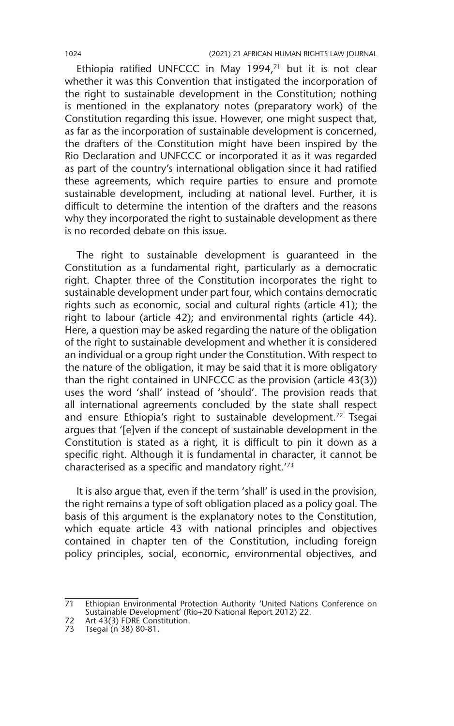Ethiopia ratified UNFCCC in May 1994,71 but it is not clear whether it was this Convention that instigated the incorporation of the right to sustainable development in the Constitution; nothing is mentioned in the explanatory notes (preparatory work) of the Constitution regarding this issue. However, one might suspect that, as far as the incorporation of sustainable development is concerned, the drafters of the Constitution might have been inspired by the Rio Declaration and UNFCCC or incorporated it as it was regarded as part of the country's international obligation since it had ratified these agreements, which require parties to ensure and promote sustainable development, including at national level. Further, it is difficult to determine the intention of the drafters and the reasons why they incorporated the right to sustainable development as there is no recorded debate on this issue.

The right to sustainable development is guaranteed in the Constitution as a fundamental right, particularly as a democratic right. Chapter three of the Constitution incorporates the right to sustainable development under part four, which contains democratic rights such as economic, social and cultural rights (article 41); the right to labour (article 42); and environmental rights (article 44). Here, a question may be asked regarding the nature of the obligation of the right to sustainable development and whether it is considered an individual or a group right under the Constitution. With respect to the nature of the obligation, it may be said that it is more obligatory than the right contained in UNFCCC as the provision (article 43(3)) uses the word 'shall' instead of 'should'. The provision reads that all international agreements concluded by the state shall respect and ensure Ethiopia's right to sustainable development.<sup>72</sup> Tsegai argues that '[e]ven if the concept of sustainable development in the Constitution is stated as a right, it is difficult to pin it down as a specific right. Although it is fundamental in character, it cannot be characterised as a specific and mandatory right.'73

It is also argue that, even if the term 'shall' is used in the provision, the right remains a type of soft obligation placed as a policy goal. The basis of this argument is the explanatory notes to the Constitution, which equate article 43 with national principles and objectives contained in chapter ten of the Constitution, including foreign policy principles, social, economic, environmental objectives, and

<sup>71</sup> Ethiopian Environmental Protection Authority 'United Nations Conference on Sustainable Development' (Rio+20 National Report 2012) 22.

<sup>72</sup> Art 43(3) FDRE Constitution.

<sup>73</sup> Tsegai (n 38) 80-81.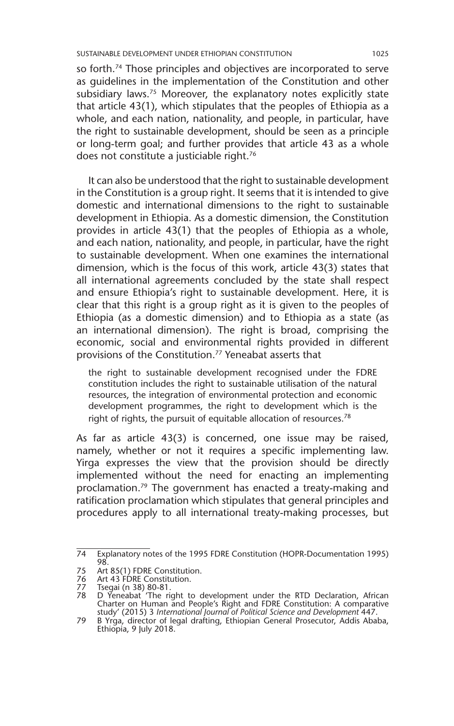so forth.<sup>74</sup> Those principles and objectives are incorporated to serve as guidelines in the implementation of the Constitution and other subsidiary laws.<sup>75</sup> Moreover, the explanatory notes explicitly state that article 43(1), which stipulates that the peoples of Ethiopia as a whole, and each nation, nationality, and people, in particular, have the right to sustainable development, should be seen as a principle or long-term goal; and further provides that article 43 as a whole does not constitute a justiciable right.<sup>76</sup>

It can also be understood that the right to sustainable development in the Constitution is a group right. It seems that it is intended to give domestic and international dimensions to the right to sustainable development in Ethiopia. As a domestic dimension, the Constitution provides in article 43(1) that the peoples of Ethiopia as a whole, and each nation, nationality, and people, in particular, have the right to sustainable development. When one examines the international dimension, which is the focus of this work, article 43(3) states that all international agreements concluded by the state shall respect and ensure Ethiopia's right to sustainable development. Here, it is clear that this right is a group right as it is given to the peoples of Ethiopia (as a domestic dimension) and to Ethiopia as a state (as an international dimension). The right is broad, comprising the economic, social and environmental rights provided in different provisions of the Constitution.77 Yeneabat asserts that

the right to sustainable development recognised under the FDRE constitution includes the right to sustainable utilisation of the natural resources, the integration of environmental protection and economic development programmes, the right to development which is the right of rights, the pursuit of equitable allocation of resources.<sup>78</sup>

As far as article 43(3) is concerned, one issue may be raised, namely, whether or not it requires a specific implementing law. Yirga expresses the view that the provision should be directly implemented without the need for enacting an implementing proclamation.79 The government has enacted a treaty-making and ratification proclamation which stipulates that general principles and procedures apply to all international treaty-making processes, but

<sup>74</sup> Explanatory notes of the 1995 FDRE Constitution (HOPR-Documentation 1995) 98.

<sup>75</sup> Art 85(1) FDRE Constitution.<br>76 Art 43 FDRE Constitution.

<sup>76</sup> Art 43 FDRE Constitution.<br>77 Tsegai (n 38) 80-81.

<sup>77</sup> Tsegai (n 38) 80-81. 78 D Yeneabat 'The right to development under the RTD Declaration, African Charter on Human and People's Right and FDRE Constitution: A comparative study' (2015) 3 *International Journal of Political Science and Development* 447.

<sup>79</sup> B Yrga, director of legal drafting, Ethiopian General Prosecutor, Addis Ababa, Ethiopia, 9 July 2018.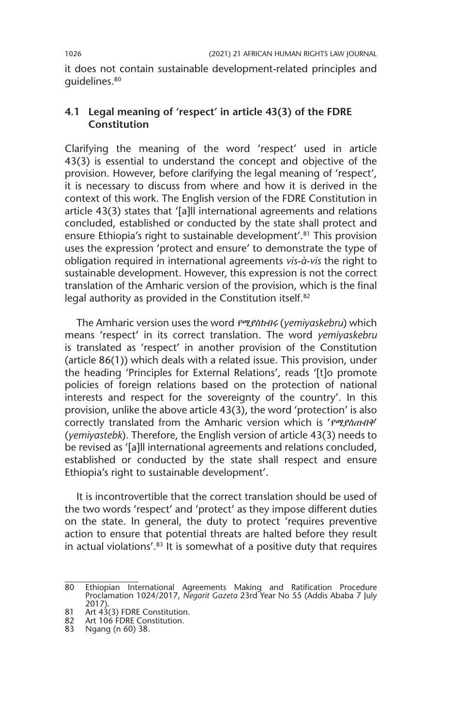it does not contain sustainable development-related principles and guidelines.80

## **4.1 Legal meaning of 'respect' in article 43(3) of the FDRE Constitution**

Clarifying the meaning of the word 'respect' used in article 43(3) is essential to understand the concept and objective of the provision. However, before clarifying the legal meaning of 'respect', it is necessary to discuss from where and how it is derived in the context of this work. The English version of the FDRE Constitution in article 43(3) states that '[a]ll international agreements and relations concluded, established or conducted by the state shall protect and ensure Ethiopia's right to sustainable development'.<sup>81</sup> This provision uses the expression 'protect and ensure' to demonstrate the type of obligation required in international agreements *vis-à-vis* the right to sustainable development. However, this expression is not the correct translation of the Amharic version of the provision, which is the final legal authority as provided in the Constitution itself.<sup>82</sup>

The Amharic version uses the word የሚያስከብሩ (*yemiyaskebru*) which means 'respect' in its correct translation. The word *yemiyaskebru* is translated as 'respect' in another provision of the Constitution (article 86(1)) which deals with a related issue. This provision, under the heading 'Principles for External Relations', reads '[t]o promote policies of foreign relations based on the protection of national interests and respect for the sovereignty of the country'. In this provision, unlike the above article 43(3), the word 'protection' is also correctly translated from the Amharic version which is 'የሚያስጠብቅ' (*yemiyastebk*). Therefore, the English version of article 43(3) needs to be revised as '[a]ll international agreements and relations concluded, established or conducted by the state shall respect and ensure Ethiopia's right to sustainable development'.

It is incontrovertible that the correct translation should be used of the two words 'respect' and 'protect' as they impose different duties on the state. In general, the duty to protect 'requires preventive action to ensure that potential threats are halted before they result in actual violations'.<sup>83</sup> It is somewhat of a positive duty that requires

<sup>80</sup> Ethiopian International Agreements Making and Ratification Procedure Proclamation 1024/2017, *Negarit Gazeta* 23rd Year No 55 (Addis Ababa 7 July 2017).

<sup>81</sup> Art 43(3) FDRE Constitution.

<sup>82</sup> Art 106 FDRE Constitution.

<sup>83</sup> Ngang (n 60) 38.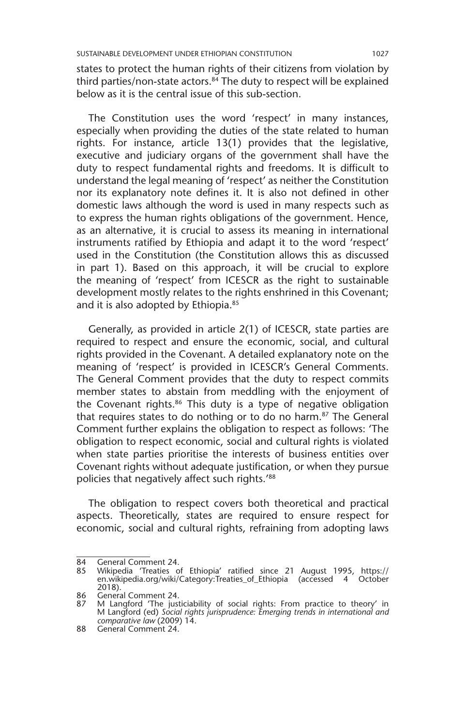states to protect the human rights of their citizens from violation by third parties/non-state actors. $84$  The duty to respect will be explained below as it is the central issue of this sub-section.

The Constitution uses the word 'respect' in many instances, especially when providing the duties of the state related to human rights. For instance, article 13(1) provides that the legislative, executive and judiciary organs of the government shall have the duty to respect fundamental rights and freedoms. It is difficult to understand the legal meaning of 'respect' as neither the Constitution nor its explanatory note defines it. It is also not defined in other domestic laws although the word is used in many respects such as to express the human rights obligations of the government. Hence, as an alternative, it is crucial to assess its meaning in international instruments ratified by Ethiopia and adapt it to the word 'respect' used in the Constitution (the Constitution allows this as discussed in part 1). Based on this approach, it will be crucial to explore the meaning of 'respect' from ICESCR as the right to sustainable development mostly relates to the rights enshrined in this Covenant; and it is also adopted by Ethiopia.<sup>85</sup>

Generally, as provided in article 2(1) of ICESCR, state parties are required to respect and ensure the economic, social, and cultural rights provided in the Covenant. A detailed explanatory note on the meaning of 'respect' is provided in ICESCR's General Comments. The General Comment provides that the duty to respect commits member states to abstain from meddling with the enjoyment of the Covenant rights.<sup>86</sup> This duty is a type of negative obligation that requires states to do nothing or to do no harm.87 The General Comment further explains the obligation to respect as follows: 'The obligation to respect economic, social and cultural rights is violated when state parties prioritise the interests of business entities over Covenant rights without adequate justification, or when they pursue policies that negatively affect such rights.'88

The obligation to respect covers both theoretical and practical aspects. Theoretically, states are required to ensure respect for economic, social and cultural rights, refraining from adopting laws

<sup>84</sup> General Comment 24.

<sup>85</sup> Wikipedia 'Treaties of Ethiopia' ratified since 21 August 1995, https:// en.wikipedia.org/wiki/Category:Treaties\_of\_Ethiopia (accessed 4 October 2018).

<sup>86</sup> General Comment 24.<br>87 M Langford The just

<sup>87</sup> M Langford 'The justiciability of social rights: From practice to theory' in M Langford (ed) *Social rights jurisprudence: Emerging trends in international and comparative law* (2009) 14.

<sup>88</sup> General Comment 24.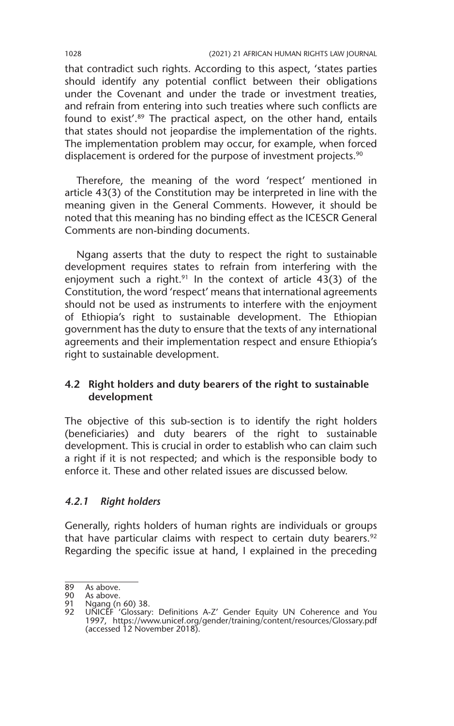that contradict such rights. According to this aspect, 'states parties should identify any potential conflict between their obligations under the Covenant and under the trade or investment treaties, and refrain from entering into such treaties where such conflicts are found to exist'.<sup>89</sup> The practical aspect, on the other hand, entails that states should not jeopardise the implementation of the rights. The implementation problem may occur, for example, when forced displacement is ordered for the purpose of investment projects.<sup>90</sup>

Therefore, the meaning of the word 'respect' mentioned in article 43(3) of the Constitution may be interpreted in line with the meaning given in the General Comments. However, it should be noted that this meaning has no binding effect as the ICESCR General Comments are non-binding documents.

Ngang asserts that the duty to respect the right to sustainable development requires states to refrain from interfering with the enjoyment such a right.<sup>91</sup> In the context of article 43(3) of the Constitution, the word 'respect' means that international agreements should not be used as instruments to interfere with the enjoyment of Ethiopia's right to sustainable development. The Ethiopian government has the duty to ensure that the texts of any international agreements and their implementation respect and ensure Ethiopia's right to sustainable development.

## **4.2 Right holders and duty bearers of the right to sustainable development**

The objective of this sub-section is to identify the right holders (beneficiaries) and duty bearers of the right to sustainable development. This is crucial in order to establish who can claim such a right if it is not respected; and which is the responsible body to enforce it. These and other related issues are discussed below.

#### *4.2.1 Right holders*

Generally, rights holders of human rights are individuals or groups that have particular claims with respect to certain duty bearers. $92$ Regarding the specific issue at hand, I explained in the preceding

<sup>89</sup> As above.<br>90 As above.

<sup>90</sup> As above.<br>91 Ngang (n

Ngang (n 60) 38.

<sup>92</sup> UNICEF 'Glossary: Definitions A-Z' Gender Equity UN Coherence and You 1997, https://www.unicef.org/gender/training/content/resources/Glossary.pdf (accessed 12 November 2018).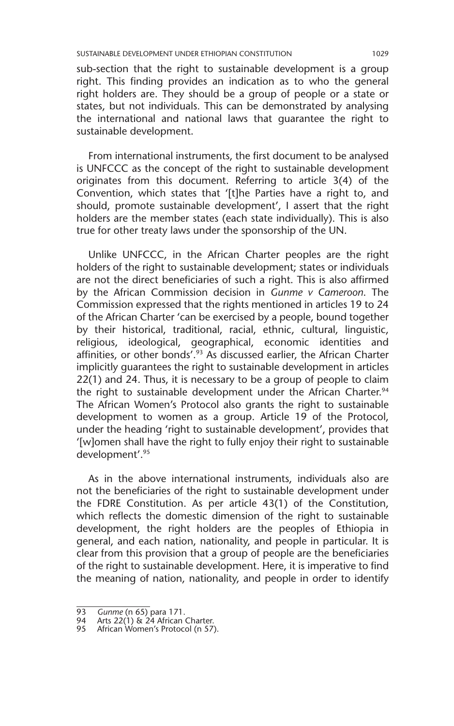sub-section that the right to sustainable development is a group right. This finding provides an indication as to who the general right holders are. They should be a group of people or a state or states, but not individuals. This can be demonstrated by analysing the international and national laws that guarantee the right to sustainable development.

From international instruments, the first document to be analysed is UNFCCC as the concept of the right to sustainable development originates from this document. Referring to article 3(4) of the Convention, which states that '[t]he Parties have a right to, and should, promote sustainable development', I assert that the right holders are the member states (each state individually). This is also true for other treaty laws under the sponsorship of the UN.

Unlike UNFCCC, in the African Charter peoples are the right holders of the right to sustainable development; states or individuals are not the direct beneficiaries of such a right. This is also affirmed by the African Commission decision in *Gunme v Cameroon*. The Commission expressed that the rights mentioned in articles 19 to 24 of the African Charter 'can be exercised by a people, bound together by their historical, traditional, racial, ethnic, cultural, linguistic, religious, ideological, geographical, economic identities and affinities, or other bonds'.<sup>93</sup> As discussed earlier, the African Charter implicitly guarantees the right to sustainable development in articles 22(1) and 24. Thus, it is necessary to be a group of people to claim the right to sustainable development under the African Charter.<sup>94</sup> The African Women's Protocol also grants the right to sustainable development to women as a group. Article 19 of the Protocol, under the heading 'right to sustainable development', provides that '[w]omen shall have the right to fully enjoy their right to sustainable development'.95

As in the above international instruments, individuals also are not the beneficiaries of the right to sustainable development under the FDRE Constitution. As per article 43(1) of the Constitution, which reflects the domestic dimension of the right to sustainable development, the right holders are the peoples of Ethiopia in general, and each nation, nationality, and people in particular. It is clear from this provision that a group of people are the beneficiaries of the right to sustainable development. Here, it is imperative to find the meaning of nation, nationality, and people in order to identify

<sup>93</sup> *Gunme* (n 65) para 171.

<sup>94</sup> Arts 22(1) & 24 African Charter.

<sup>95</sup> African Women's Protocol (n 57).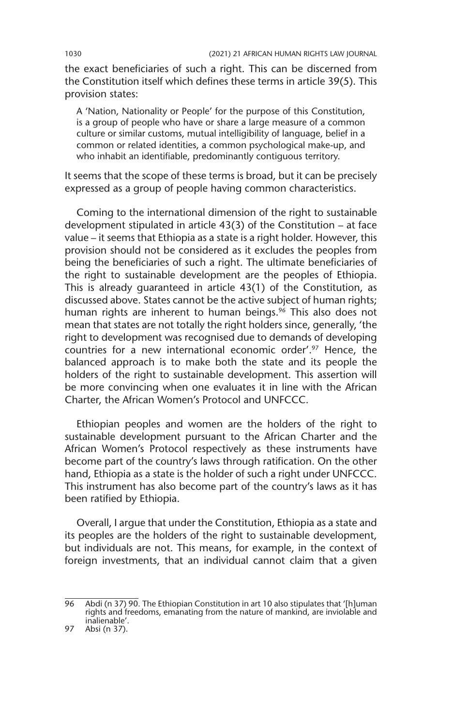the exact beneficiaries of such a right. This can be discerned from the Constitution itself which defines these terms in article 39(5). This provision states:

A 'Nation, Nationality or People' for the purpose of this Constitution, is a group of people who have or share a large measure of a common culture or similar customs, mutual intelligibility of language, belief in a common or related identities, a common psychological make-up, and who inhabit an identifiable, predominantly contiguous territory.

It seems that the scope of these terms is broad, but it can be precisely expressed as a group of people having common characteristics.

Coming to the international dimension of the right to sustainable development stipulated in article 43(3) of the Constitution – at face value – it seems that Ethiopia as a state is a right holder. However, this provision should not be considered as it excludes the peoples from being the beneficiaries of such a right. The ultimate beneficiaries of the right to sustainable development are the peoples of Ethiopia. This is already guaranteed in article 43(1) of the Constitution, as discussed above. States cannot be the active subject of human rights; human rights are inherent to human beings.<sup>96</sup> This also does not mean that states are not totally the right holders since, generally, 'the right to development was recognised due to demands of developing countries for a new international economic order'.97 Hence, the balanced approach is to make both the state and its people the holders of the right to sustainable development. This assertion will be more convincing when one evaluates it in line with the African Charter, the African Women's Protocol and UNFCCC.

Ethiopian peoples and women are the holders of the right to sustainable development pursuant to the African Charter and the African Women's Protocol respectively as these instruments have become part of the country's laws through ratification. On the other hand, Ethiopia as a state is the holder of such a right under UNFCCC. This instrument has also become part of the country's laws as it has been ratified by Ethiopia.

Overall, I argue that under the Constitution, Ethiopia as a state and its peoples are the holders of the right to sustainable development, but individuals are not. This means, for example, in the context of foreign investments, that an individual cannot claim that a given

<sup>96</sup> Abdi (n 37) 90. The Ethiopian Constitution in art 10 also stipulates that '[h]uman rights and freedoms, emanating from the nature of mankind, are inviolable and inalienable'.

<sup>97</sup> Absi (n 37).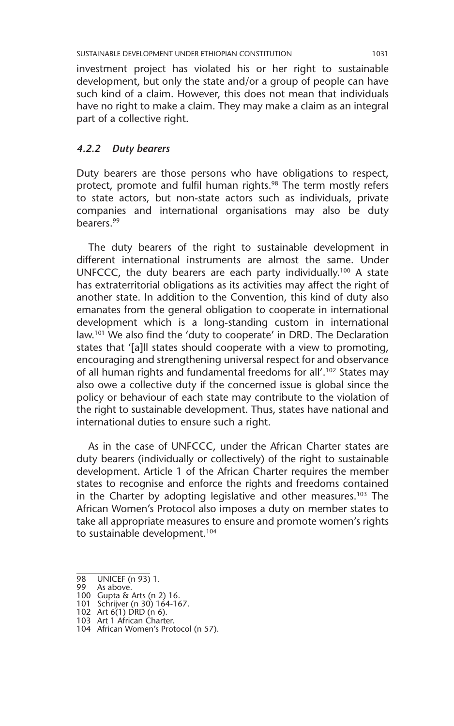investment project has violated his or her right to sustainable development, but only the state and/or a group of people can have such kind of a claim. However, this does not mean that individuals have no right to make a claim. They may make a claim as an integral part of a collective right.

#### *4.2.2 Duty bearers*

Duty bearers are those persons who have obligations to respect, protect, promote and fulfil human rights.<sup>98</sup> The term mostly refers to state actors, but non-state actors such as individuals, private companies and international organisations may also be duty bearers.99

The duty bearers of the right to sustainable development in different international instruments are almost the same. Under UNFCCC, the duty bearers are each party individually.<sup>100</sup> A state has extraterritorial obligations as its activities may affect the right of another state. In addition to the Convention, this kind of duty also emanates from the general obligation to cooperate in international development which is a long-standing custom in international law.101 We also find the 'duty to cooperate' in DRD. The Declaration states that '[a]ll states should cooperate with a view to promoting, encouraging and strengthening universal respect for and observance of all human rights and fundamental freedoms for all'.102 States may also owe a collective duty if the concerned issue is global since the policy or behaviour of each state may contribute to the violation of the right to sustainable development. Thus, states have national and international duties to ensure such a right.

As in the case of UNFCCC, under the African Charter states are duty bearers (individually or collectively) of the right to sustainable development. Article 1 of the African Charter requires the member states to recognise and enforce the rights and freedoms contained in the Charter by adopting legislative and other measures.<sup>103</sup> The African Women's Protocol also imposes a duty on member states to take all appropriate measures to ensure and promote women's rights to sustainable development.<sup>104</sup>

<sup>98</sup> UNICEF (n 93) 1.

<sup>99</sup> As above. 100 Gupta & Arts (n 2) 16. 101 Schrijver (n 30) 164-167.

<sup>102</sup> Art 6(1) DRD (n 6).

<sup>103</sup> Art 1 African Charter.

<sup>104</sup> African Women's Protocol (n 57).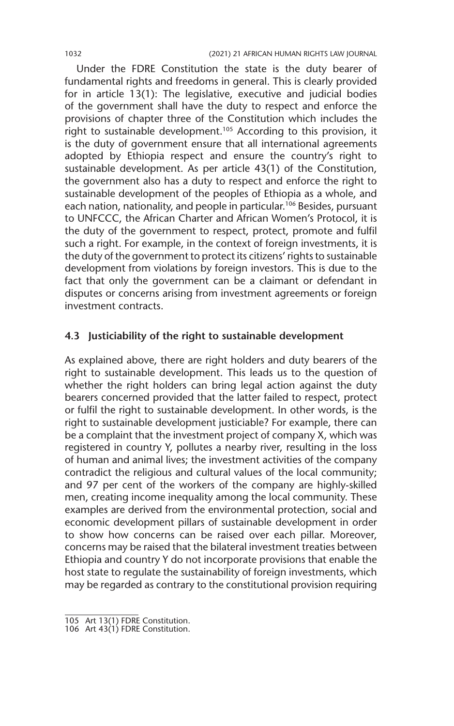Under the FDRE Constitution the state is the duty bearer of fundamental rights and freedoms in general. This is clearly provided for in article 13(1): The legislative, executive and judicial bodies of the government shall have the duty to respect and enforce the provisions of chapter three of the Constitution which includes the right to sustainable development.<sup>105</sup> According to this provision, it is the duty of government ensure that all international agreements adopted by Ethiopia respect and ensure the country's right to sustainable development. As per article 43(1) of the Constitution, the government also has a duty to respect and enforce the right to sustainable development of the peoples of Ethiopia as a whole, and each nation, nationality, and people in particular.<sup>106</sup> Besides, pursuant to UNFCCC, the African Charter and African Women's Protocol, it is the duty of the government to respect, protect, promote and fulfil such a right. For example, in the context of foreign investments, it is the duty of the government to protect its citizens' rights to sustainable development from violations by foreign investors. This is due to the fact that only the government can be a claimant or defendant in disputes or concerns arising from investment agreements or foreign investment contracts.

#### **4.3 Justiciability of the right to sustainable development**

As explained above, there are right holders and duty bearers of the right to sustainable development. This leads us to the question of whether the right holders can bring legal action against the duty bearers concerned provided that the latter failed to respect, protect or fulfil the right to sustainable development. In other words, is the right to sustainable development justiciable? For example, there can be a complaint that the investment project of company X, which was registered in country Y, pollutes a nearby river, resulting in the loss of human and animal lives; the investment activities of the company contradict the religious and cultural values of the local community; and 97 per cent of the workers of the company are highly-skilled men, creating income inequality among the local community. These examples are derived from the environmental protection, social and economic development pillars of sustainable development in order to show how concerns can be raised over each pillar. Moreover, concerns may be raised that the bilateral investment treaties between Ethiopia and country Y do not incorporate provisions that enable the host state to regulate the sustainability of foreign investments, which may be regarded as contrary to the constitutional provision requiring

<sup>105</sup> Art 13(1) FDRE Constitution.

<sup>106</sup> Art 43(1) FDRE Constitution.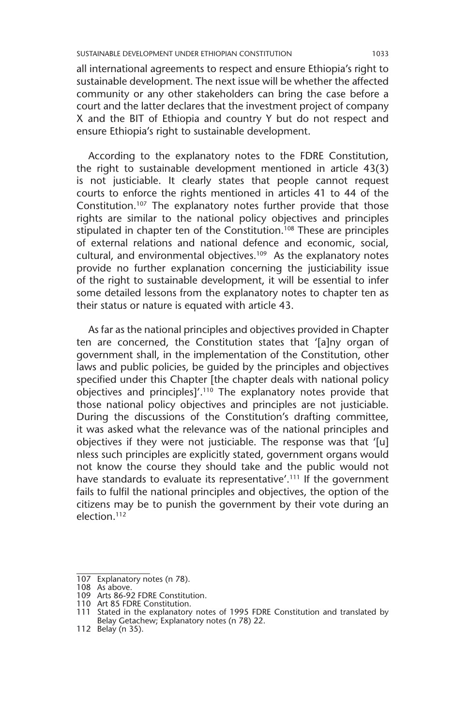all international agreements to respect and ensure Ethiopia's right to sustainable development. The next issue will be whether the affected community or any other stakeholders can bring the case before a court and the latter declares that the investment project of company X and the BIT of Ethiopia and country Y but do not respect and ensure Ethiopia's right to sustainable development.

According to the explanatory notes to the FDRE Constitution, the right to sustainable development mentioned in article 43(3) is not justiciable. It clearly states that people cannot request courts to enforce the rights mentioned in articles 41 to 44 of the Constitution.107 The explanatory notes further provide that those rights are similar to the national policy objectives and principles stipulated in chapter ten of the Constitution.<sup>108</sup> These are principles of external relations and national defence and economic, social, cultural, and environmental objectives.<sup>109</sup> As the explanatory notes provide no further explanation concerning the justiciability issue of the right to sustainable development, it will be essential to infer some detailed lessons from the explanatory notes to chapter ten as their status or nature is equated with article 43.

As far as the national principles and objectives provided in Chapter ten are concerned, the Constitution states that '[a]ny organ of government shall, in the implementation of the Constitution, other laws and public policies, be guided by the principles and objectives specified under this Chapter [the chapter deals with national policy objectives and principles]'.110 The explanatory notes provide that those national policy objectives and principles are not justiciable. During the discussions of the Constitution's drafting committee, it was asked what the relevance was of the national principles and objectives if they were not justiciable. The response was that '[u] nless such principles are explicitly stated, government organs would not know the course they should take and the public would not have standards to evaluate its representative'.<sup>111</sup> If the government fails to fulfil the national principles and objectives, the option of the citizens may be to punish the government by their vote during an election.112

<sup>107</sup> Explanatory notes (n 78).

<sup>108</sup> As above. 109 Arts 86-92 FDRE Constitution. 110 Art 85 FDRE Constitution.

<sup>111</sup> Stated in the explanatory notes of 1995 FDRE Constitution and translated by Belay Getachew; Explanatory notes (n 78) 22.

<sup>112</sup> Belay (n 35).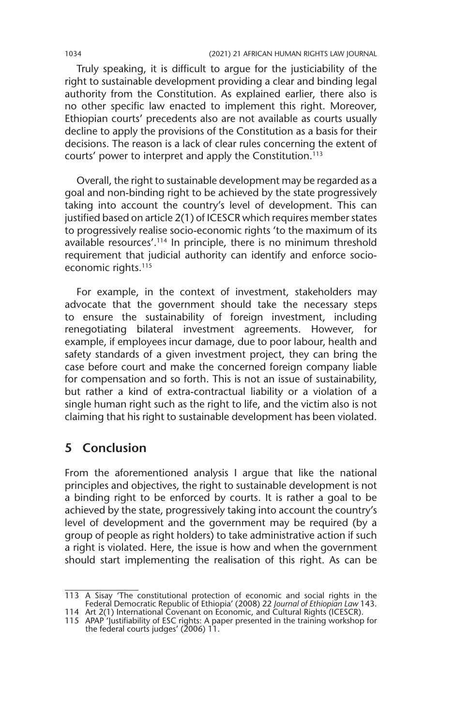Truly speaking, it is difficult to argue for the justiciability of the right to sustainable development providing a clear and binding legal authority from the Constitution. As explained earlier, there also is no other specific law enacted to implement this right. Moreover, Ethiopian courts' precedents also are not available as courts usually decline to apply the provisions of the Constitution as a basis for their decisions. The reason is a lack of clear rules concerning the extent of courts' power to interpret and apply the Constitution.113

Overall, the right to sustainable development may be regarded as a goal and non-binding right to be achieved by the state progressively taking into account the country's level of development. This can justified based on article 2(1) of ICESCR which requires member states to progressively realise socio-economic rights 'to the maximum of its available resources'.114 In principle, there is no minimum threshold requirement that judicial authority can identify and enforce socioeconomic rights.<sup>115</sup>

For example, in the context of investment, stakeholders may advocate that the government should take the necessary steps to ensure the sustainability of foreign investment, including renegotiating bilateral investment agreements. However, for example, if employees incur damage, due to poor labour, health and safety standards of a given investment project, they can bring the case before court and make the concerned foreign company liable for compensation and so forth. This is not an issue of sustainability, but rather a kind of extra-contractual liability or a violation of a single human right such as the right to life, and the victim also is not claiming that his right to sustainable development has been violated.

## **5 Conclusion**

From the aforementioned analysis I argue that like the national principles and objectives, the right to sustainable development is not a binding right to be enforced by courts. It is rather a goal to be achieved by the state, progressively taking into account the country's level of development and the government may be required (by a group of people as right holders) to take administrative action if such a right is violated. Here, the issue is how and when the government should start implementing the realisation of this right. As can be

<sup>113</sup> A Sisay 'The constitutional protection of economic and social rights in the Federal Democratic Republic of Ethiopia' (2008) 22 *Journal of Ethiopian Law* 143.

<sup>114</sup> Art 2(1) International Covenant on Economic, and Cultural Rights (ICESCR). 115 APAP 'Justifiability of ESC rights: A paper presented in the training workshop for the federal courts judges' (2006) 11.